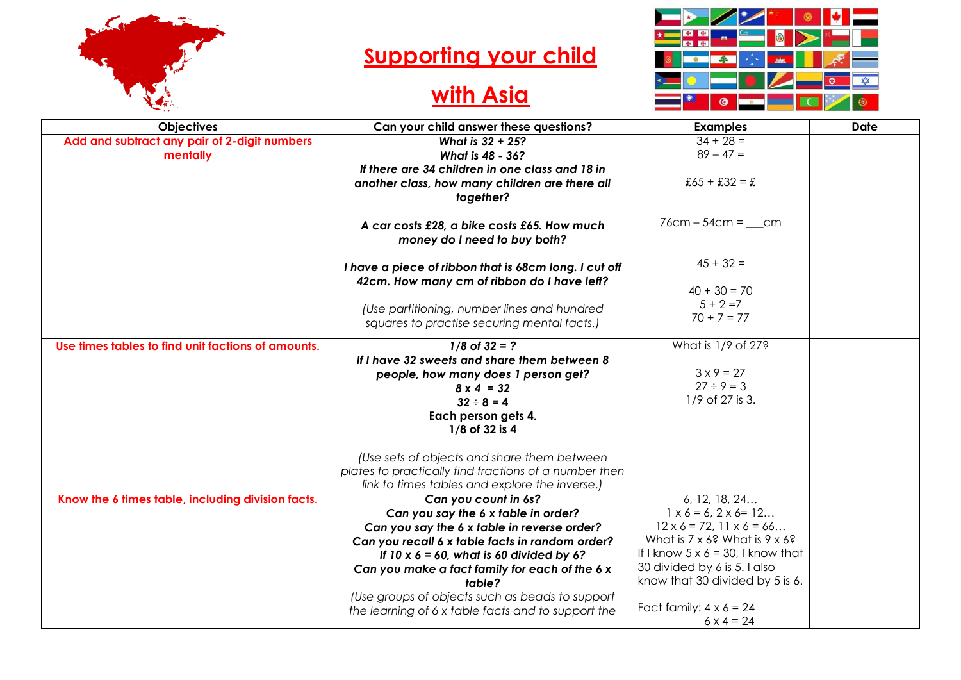

## **Supporting your child**

## **with Asia**



| <b>Objectives</b>                                  | Can your child answer these questions?                                                                         | <b>Examples</b>                                     | <b>Date</b> |
|----------------------------------------------------|----------------------------------------------------------------------------------------------------------------|-----------------------------------------------------|-------------|
| Add and subtract any pair of 2-digit numbers       | What is 32 + 25?                                                                                               | $34 + 28 =$                                         |             |
| mentally                                           | What is 48 - 36?                                                                                               | $89 - 47 =$                                         |             |
|                                                    | If there are 34 children in one class and 18 in<br>another class, how many children are there all<br>together? | $£65 + £32 = £$                                     |             |
|                                                    | A car costs £28, a bike costs £65. How much<br>money do I need to buy both?                                    | $76cm - 54cm = \_ cm$                               |             |
|                                                    | I have a piece of ribbon that is 68cm long. I cut off<br>42cm. How many cm of ribbon do I have left?           | $45 + 32 =$                                         |             |
|                                                    |                                                                                                                | $40 + 30 = 70$                                      |             |
|                                                    | (Use partitioning, number lines and hundred                                                                    | $5 + 2 = 7$                                         |             |
|                                                    | squares to practise securing mental facts.)                                                                    | $70 + 7 = 77$                                       |             |
| Use times tables to find unit factions of amounts. | $1/8$ of $32 = ?$                                                                                              | What is 1/9 of 27?                                  |             |
|                                                    | If I have 32 sweets and share them between 8                                                                   |                                                     |             |
|                                                    | people, how many does 1 person get?                                                                            | $3 \times 9 = 27$                                   |             |
|                                                    | $8 \times 4 = 32$                                                                                              | $27 \div 9 = 3$                                     |             |
|                                                    | $32 \div 8 = 4$                                                                                                | 1/9 of 27 is 3.                                     |             |
|                                                    | Each person gets 4.                                                                                            |                                                     |             |
|                                                    | 1/8 of 32 is 4                                                                                                 |                                                     |             |
|                                                    | (Use sets of objects and share them between                                                                    |                                                     |             |
|                                                    | plates to practically find fractions of a number then                                                          |                                                     |             |
|                                                    | link to times tables and explore the inverse.)                                                                 |                                                     |             |
| Know the 6 times table, including division facts.  | Can you count in 6s?                                                                                           | 6, 12, 18, 24                                       |             |
|                                                    | Can you say the 6 x table in order?                                                                            | $1 \times 6 = 6$ , $2 \times 6 = 12$                |             |
|                                                    | Can you say the 6 x table in reverse order?                                                                    | $12 \times 6 = 72, 11 \times 6 = 66$                |             |
|                                                    | Can you recall 6 x table facts in random order?                                                                | What is $7 \times 6$ ? What is $9 \times 6$ ?       |             |
|                                                    | If $10 \times 6 = 60$ , what is 60 divided by 6?                                                               | If I know $5 \times 6 = 30$ , I know that           |             |
|                                                    | Can you make a fact family for each of the 6 x                                                                 | 30 divided by 6 is 5. I also                        |             |
|                                                    | table?                                                                                                         | know that 30 divided by 5 is 6.                     |             |
|                                                    | (Use groups of objects such as beads to support                                                                |                                                     |             |
|                                                    | the learning of 6 x table facts and to support the                                                             | Fact family: $4 \times 6 = 24$<br>$6 \times 4 = 24$ |             |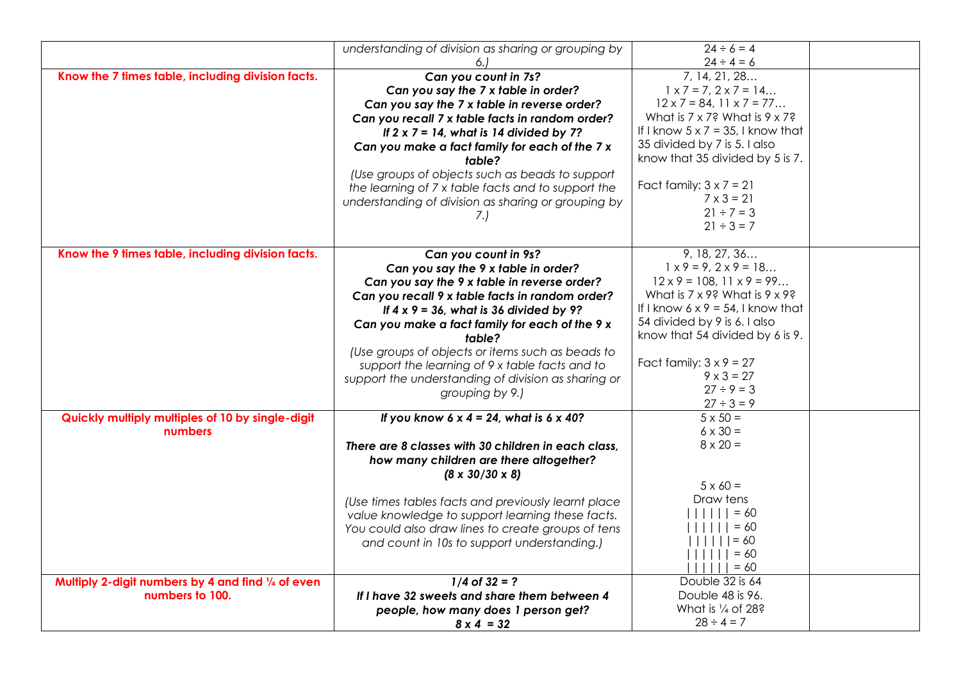|                                                    | understanding of division as sharing or grouping by<br>6.1 | $24 \div 6 = 4$<br>$24 \div 4 = 6$            |  |
|----------------------------------------------------|------------------------------------------------------------|-----------------------------------------------|--|
| Know the 7 times table, including division facts.  | Can you count in 7s?                                       | 7, 14, 21, 28                                 |  |
|                                                    | Can you say the 7 x table in order?                        | $1 \times 7 = 7, 2 \times 7 = 14$             |  |
|                                                    | Can you say the 7 x table in reverse order?                | $12 \times 7 = 84, 11 \times 7 = 77$          |  |
|                                                    | Can you recall 7 x table facts in random order?            | What is $7 \times 7$ ? What is $9 \times 7$ ? |  |
|                                                    | If $2 \times 7 = 14$ , what is 14 divided by 7?            | If I know $5 \times 7 = 35$ , I know that     |  |
|                                                    | Can you make a fact family for each of the 7 x             | 35 divided by 7 is 5. I also                  |  |
|                                                    | table?                                                     | know that 35 divided by 5 is 7.               |  |
|                                                    | (Use groups of objects such as beads to support            |                                               |  |
|                                                    | the learning of 7 x table facts and to support the         | Fact family: $3 \times 7 = 21$                |  |
|                                                    | understanding of division as sharing or grouping by        | $7 \times 3 = 21$                             |  |
|                                                    | 7.)                                                        | $21 \div 7 = 3$                               |  |
|                                                    |                                                            | $21 \div 3 = 7$                               |  |
| Know the 9 times table, including division facts.  | Can you count in 9s?                                       | 9, 18, 27, 36                                 |  |
|                                                    | Can you say the 9 x table in order?                        | $1 \times 9 = 9, 2 \times 9 = 18$             |  |
|                                                    | Can you say the 9 x table in reverse order?                | $12 \times 9 = 108, 11 \times 9 = 99$         |  |
|                                                    | Can you recall 9 x table facts in random order?            | What is $7 \times 9$ ? What is $9 \times 9$ ? |  |
|                                                    | If $4 \times 9 = 36$ , what is 36 divided by 9?            | If I know $6 \times 9 = 54$ , I know that     |  |
|                                                    | Can you make a fact family for each of the 9 x             | 54 divided by 9 is 6. I also                  |  |
|                                                    | table?                                                     | know that 54 divided by 6 is 9.               |  |
|                                                    | (Use groups of objects or items such as beads to           | Fact family: $3 \times 9 = 27$                |  |
|                                                    | support the learning of 9 x table facts and to             | $9 \times 3 = 27$                             |  |
|                                                    | support the understanding of division as sharing or        | $27 \div 9 = 3$                               |  |
|                                                    | grouping by 9.)                                            | $27 \div 3 = 9$                               |  |
| Quickly multiply multiples of 10 by single-digit   | If you know 6 x 4 = 24, what is 6 x 40?                    | $5 \times 50 =$                               |  |
| numbers                                            |                                                            | $6 \times 30 =$                               |  |
|                                                    | There are 8 classes with 30 children in each class,        | $8 \times 20 =$                               |  |
|                                                    | how many children are there altogether?                    |                                               |  |
|                                                    | $(8 \times 30/30 \times 8)$                                |                                               |  |
|                                                    |                                                            | $5 \times 60 =$                               |  |
|                                                    | (Use times tables facts and previously learnt place        | Draw tens                                     |  |
|                                                    | value knowledge to support learning these facts.           | $= 60$                                        |  |
|                                                    | You could also draw lines to create groups of tens         | $= 60$                                        |  |
|                                                    | and count in 10s to support understanding.)                | $      = 60$<br>$ $      = 60                 |  |
|                                                    |                                                            | $        = 60$                                |  |
| Multiply 2-digit numbers by 4 and find 1/4 of even | $1/4$ of $32 = ?$                                          | Double 32 is 64                               |  |
| numbers to 100.                                    | If I have 32 sweets and share them between 4               | Double 48 is 96.                              |  |
|                                                    | people, how many does 1 person get?                        | What is 1/4 of 28?                            |  |
|                                                    | $8 \times 4 = 32$                                          | $28 \div 4 = 7$                               |  |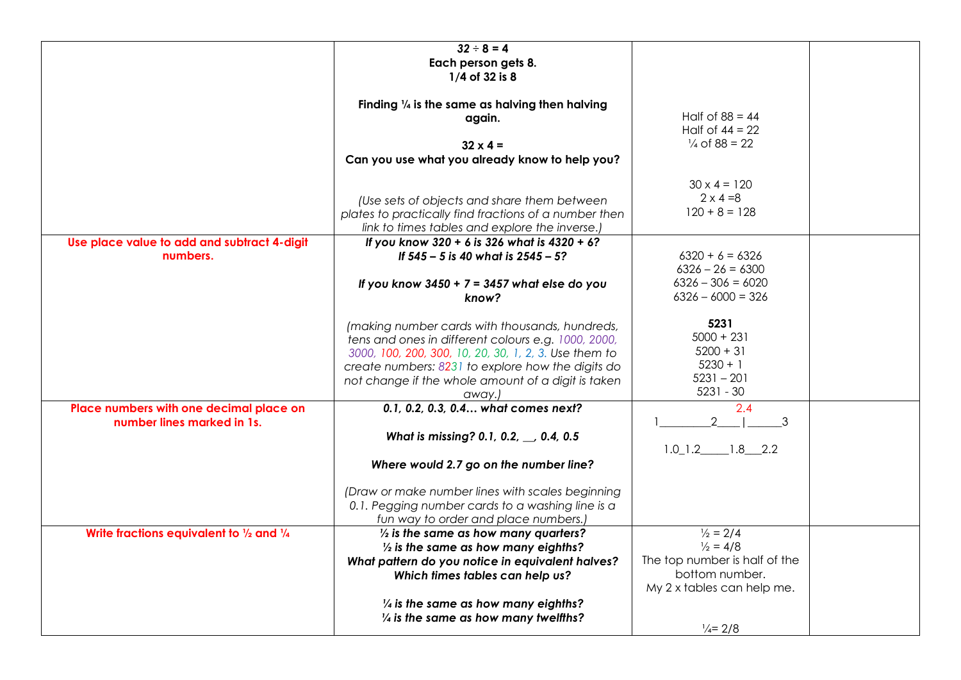|                                             | $32 \div 8 = 4$                                           |                               |  |
|---------------------------------------------|-----------------------------------------------------------|-------------------------------|--|
|                                             | Each person gets 8.                                       |                               |  |
|                                             | 1/4 of 32 is 8                                            |                               |  |
|                                             |                                                           |                               |  |
|                                             |                                                           |                               |  |
|                                             | Finding $\frac{1}{4}$ is the same as halving then halving |                               |  |
|                                             | again.                                                    | Half of $88 = 44$             |  |
|                                             |                                                           | Half of $44 = 22$             |  |
|                                             | $32 \times 4 =$                                           | $\frac{1}{4}$ of 88 = 22      |  |
|                                             | Can you use what you already know to help you?            |                               |  |
|                                             |                                                           |                               |  |
|                                             |                                                           | $30 \times 4 = 120$           |  |
|                                             |                                                           |                               |  |
|                                             | (Use sets of objects and share them between               | $2 \times 4 = 8$              |  |
|                                             | plates to practically find fractions of a number then     | $120 + 8 = 128$               |  |
|                                             | link to times tables and explore the inverse.)            |                               |  |
| Use place value to add and subtract 4-digit | If you know 320 + 6 is 326 what is 4320 + 6?              |                               |  |
| numbers.                                    |                                                           | $6320 + 6 = 6326$             |  |
|                                             | If 545 - 5 is 40 what is 2545 - 5?                        |                               |  |
|                                             |                                                           | $6326 - 26 = 6300$            |  |
|                                             | If you know $3450 + 7 = 3457$ what else do you            | $6326 - 306 = 6020$           |  |
|                                             | know?                                                     | $6326 - 6000 = 326$           |  |
|                                             |                                                           |                               |  |
|                                             | (making number cards with thousands, hundreds,            | 5231                          |  |
|                                             |                                                           | $5000 + 231$                  |  |
|                                             | tens and ones in different colours e.g. 1000, 2000,       |                               |  |
|                                             | 3000, 100, 200, 300, 10, 20, 30, 1, 2, 3. Use them to     | $5200 + 31$                   |  |
|                                             | create numbers: 8231 to explore how the digits do         | $5230 + 1$                    |  |
|                                             | not change if the whole amount of a digit is taken        | $5231 - 201$                  |  |
|                                             | away.)                                                    | $5231 - 30$                   |  |
| Place numbers with one decimal place on     | 0.1, 0.2, 0.3, 0.4 what comes next?                       | 2.4                           |  |
| number lines marked in 1s.                  |                                                           | $\overline{2}$                |  |
|                                             |                                                           | 3                             |  |
|                                             | What is missing? 0.1, 0.2, , 0.4, 0.5                     |                               |  |
|                                             |                                                           | $1.0$ $1.2$ $1.8$ $2.2$       |  |
|                                             | Where would 2.7 go on the number line?                    |                               |  |
|                                             |                                                           |                               |  |
|                                             | (Draw or make number lines with scales beginning          |                               |  |
|                                             | 0.1. Pegging number cards to a washing line is a          |                               |  |
|                                             |                                                           |                               |  |
|                                             | fun way to order and place numbers.)                      |                               |  |
| Write fractions equivalent to 1/2 and 1/4   | $\frac{1}{2}$ is the same as how many quarters?           | $\frac{1}{2}$ = 2/4           |  |
|                                             | $\frac{1}{2}$ is the same as how many eighths?            | $\frac{1}{2}$ = 4/8           |  |
|                                             | What pattern do you notice in equivalent halves?          | The top number is half of the |  |
|                                             | Which times tables can help us?                           | bottom number.                |  |
|                                             |                                                           | My 2 x tables can help me.    |  |
|                                             |                                                           |                               |  |
|                                             | $\frac{1}{4}$ is the same as how many eighths?            |                               |  |
|                                             | $\frac{1}{4}$ is the same as how many twelfths?           |                               |  |
|                                             |                                                           | $\frac{1}{4}$ = 2/8           |  |